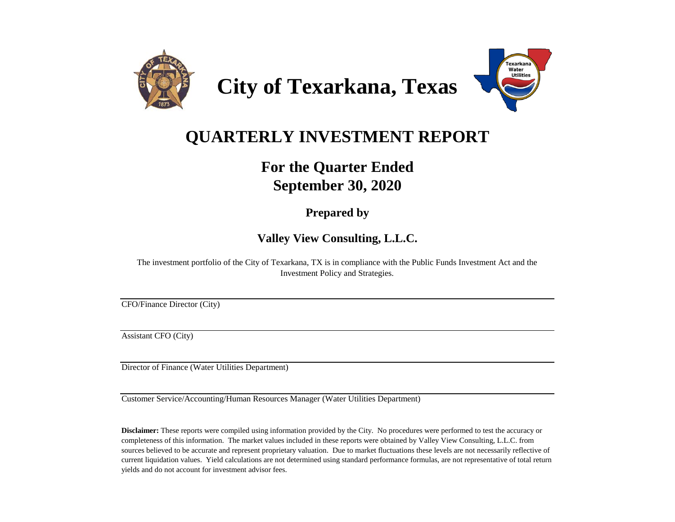

**City of Texarkana, Texas**



# **QUARTERLY INVESTMENT REPORT**

## **For the Quarter Ended September 30, 2020**

### **Prepared by**

**Valley View Consulting, L.L.C.**

The investment portfolio of the City of Texarkana, TX is in compliance with the Public Funds Investment Act and the Investment Policy and Strategies.

CFO/Finance Director (City)

Assistant CFO (City)

Director of Finance (Water Utilities Department)

Customer Service/Accounting/Human Resources Manager (Water Utilities Department)

**Disclaimer:** These reports were compiled using information provided by the City. No procedures were performed to test the accuracy or completeness of this information. The market values included in these reports were obtained by Valley View Consulting, L.L.C. from sources believed to be accurate and represent proprietary valuation. Due to market fluctuations these levels are not necessarily reflective of current liquidation values. Yield calculations are not determined using standard performance formulas, are not representative of total return yields and do not account for investment advisor fees.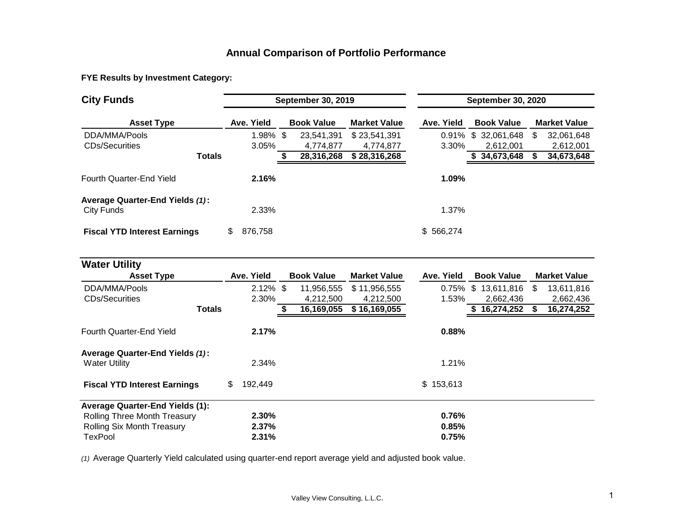### **Annual Comparison of Portfolio Performance**

**FYE Results by Investment Category:**

| <b>City Funds</b>                                    | <b>September 30, 2019</b> |             |  |                   |                     |            | <b>September 30, 2020</b> |    |                     |  |  |  |
|------------------------------------------------------|---------------------------|-------------|--|-------------------|---------------------|------------|---------------------------|----|---------------------|--|--|--|
| <b>Asset Type</b>                                    |                           | Ave. Yield  |  | <b>Book Value</b> | <b>Market Value</b> | Ave. Yield | <b>Book Value</b>         |    | <b>Market Value</b> |  |  |  |
| DDA/MMA/Pools                                        |                           | $1.98\%$ \$ |  | 23.541.391        | \$23,541,391        | $0.91\%$   | \$ 32,061,648             | S. | 32,061,648          |  |  |  |
| <b>CDs/Securities</b>                                |                           | 3.05%       |  | 4.774.877         | 4.774.877           | 3.30%      | 2.612.001                 |    | 2,612,001           |  |  |  |
| <b>Totals</b>                                        |                           |             |  | 28,316,268        | \$28,316,268        |            | 34,673,648                |    | 34,673,648          |  |  |  |
| Fourth Quarter-End Yield                             |                           | 2.16%       |  |                   |                     | 1.09%      |                           |    |                     |  |  |  |
| <b>Average Quarter-End Yields (1):</b><br>City Funds |                           | 2.33%       |  |                   |                     | 1.37%      |                           |    |                     |  |  |  |
| <b>Fiscal YTD Interest Earnings</b>                  |                           | 876.758     |  |                   |                     | \$566.274  |                           |    |                     |  |  |  |

| <b>Water Utility</b>                                    |     |             |                   |                     |             |                   |     |                     |
|---------------------------------------------------------|-----|-------------|-------------------|---------------------|-------------|-------------------|-----|---------------------|
| <b>Asset Type</b>                                       |     | Ave. Yield  | <b>Book Value</b> | <b>Market Value</b> | Ave. Yield  | <b>Book Value</b> |     | <b>Market Value</b> |
| DDA/MMA/Pools                                           |     | $2.12\%$ \$ | 11,956,555        | \$11,956,555        | $0.75\%$ \$ | 13,611,816        | \$. | 13,611,816          |
| <b>CDs/Securities</b>                                   |     | 2.30%       | 4.212.500         | 4,212,500           | 1.53%       | 2,662,436         |     | 2,662,436           |
| <b>Totals</b>                                           |     |             | 16,169,055        | \$16,169,055        |             | 16,274,252<br>S   |     | 16,274,252          |
| Fourth Quarter-End Yield                                |     | 2.17%       |                   |                     | 0.88%       |                   |     |                     |
| Average Quarter-End Yields (1):<br><b>Water Utility</b> |     | 2.34%       |                   |                     | 1.21%       |                   |     |                     |
| <b>Fiscal YTD Interest Earnings</b>                     | \$. | 192.449     |                   |                     | \$153,613   |                   |     |                     |
| <b>Average Quarter-End Yields (1):</b>                  |     |             |                   |                     |             |                   |     |                     |
| <b>Rolling Three Month Treasury</b>                     |     | $2.30\%$    |                   |                     | 0.76%       |                   |     |                     |
| <b>Rolling Six Month Treasury</b>                       |     | 2.37%       |                   |                     | 0.85%       |                   |     |                     |
| TexPool                                                 |     | 2.31%       |                   |                     | 0.75%       |                   |     |                     |

*(1)* Average Quarterly Yield calculated using quarter-end report average yield and adjusted book value.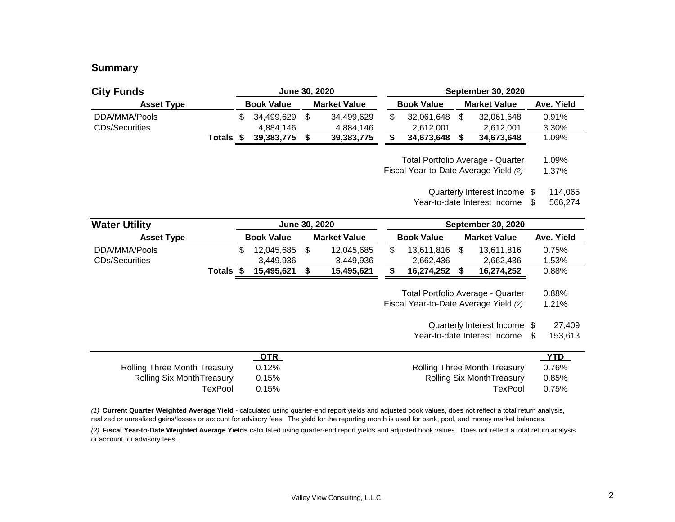### **Summary**

| <b>City Funds</b>     |        |    | June 30, 2020     |      |                     |                                       | <b>September 30, 2020</b> |                                   |                |
|-----------------------|--------|----|-------------------|------|---------------------|---------------------------------------|---------------------------|-----------------------------------|----------------|
| <b>Asset Type</b>     |        |    | <b>Book Value</b> |      | <b>Market Value</b> | <b>Book Value</b>                     |                           | <b>Market Value</b>               | Ave. Yield     |
| DDA/MMA/Pools         |        | S. | 34,499,629        | - \$ | 34,499,629          | \$<br>32,061,648                      | S                         | 32,061,648                        | 0.91%          |
| <b>CDs/Securities</b> |        |    | 4,884,146         |      | 4,884,146           | 2,612,001                             |                           | 2,612,001                         | 3.30%          |
|                       | Totals |    | 39,383,775        |      | 39,383,775          | 34,673,648                            |                           | 34,673,648                        | 1.09%          |
|                       |        |    |                   |      |                     | Fiscal Year-to-Date Average Yield (2) |                           | Total Portfolio Average - Quarter | 1.09%<br>1.37% |

Quarterly Interest Income \$ 114,065

Year-to-date Interest Income \$ 566,274

| <b>Water Utility</b>  |        | June 30, 2020     |  |                     |                   | <b>September 30, 2020</b> |            |
|-----------------------|--------|-------------------|--|---------------------|-------------------|---------------------------|------------|
| <b>Asset Type</b>     |        | <b>Book Value</b> |  | <b>Market Value</b> | <b>Book Value</b> | <b>Market Value</b>       | Ave. Yield |
| DDA/MMA/Pools         |        | 12.045.685        |  | 12.045.685          | 13.611.816        | 13,611,816                | 0.75%      |
| <b>CDs/Securities</b> |        | 3.449.936         |  | 3.449.936           | 2.662.436         | 2.662.436                 | 1.53%      |
|                       | Totals | 15.495.621        |  | 15,495,621          | 16,274,252        | 16,274,252                | 0.88%      |

Total Portfolio Average - Quarter 0.88%<br>al Year-to-Date Average Yield (2) 1.21%

Fiscal Year-to-Date Average Yield (2)

Quarterly Interest Income \$ 27,409

Year-to-date Interest Income \$ 153,613

|                                     | <u>QTR</u> |                                     | <u>YTD</u> |
|-------------------------------------|------------|-------------------------------------|------------|
| <b>Rolling Three Month Treasury</b> | 0.12%      | <b>Rolling Three Month Treasury</b> | 0.76%      |
| Rolling Six MonthTreasury           | 0.15%      | Rolling Six MonthTreasury           | 0.85%      |
| TexPool                             | 0.15%      | <b>TexPool</b>                      | 0.75%      |

*(1)* **Current Quarter Weighted Average Yield** - calculated using quarter-end report yields and adjusted book values, does not reflect a total return analysis, realized or unrealized gains/losses or account for advisory fees. The yield for the reporting month is used for bank, pool, and money market balances. 

*(2)* **Fiscal Year-to-Date Weighted Average Yields** calculated using quarter-end report yields and adjusted book values. Does not reflect a total return analysis or account for advisory fees..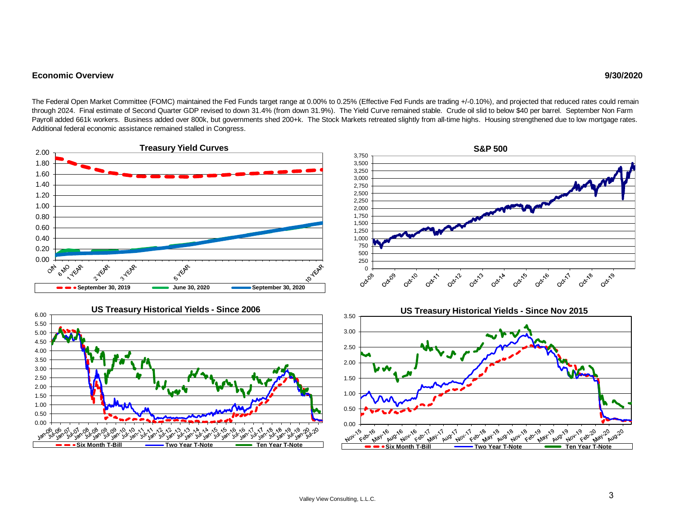#### **Economic Overview**

The Federal Open Market Committee (FOMC) maintained the Fed Funds target range at 0.00% to 0.25% (Effective Fed Funds are trading +/-0.10%), and projected that reduced rates could remain through 2024. Final estimate of Second Quarter GDP revised to down 31.4% (from down 31.9%). The Yield Curve remained stable. Crude oil slid to below \$40 per barrel. September Non Farm Payroll added 661k workers. Business added over 800k, but governments shed 200+k. The Stock Markets retreated slightly from all-time highs. Housing strengthened due to low mortgage rates. Additional federal economic assistance remained stalled in Congress.

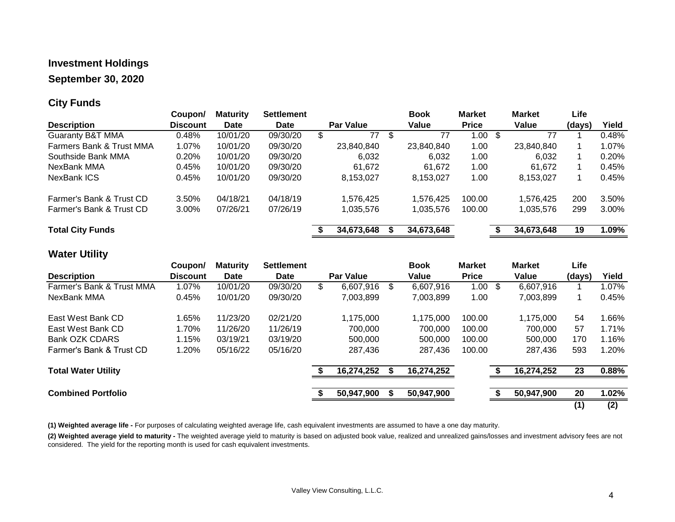### **Investment Holdings**

### **September 30, 2020**

### **City Funds**

|                                     | Coupon/         | <b>Maturity</b> | <b>Settlement</b> |                  | <b>Book</b> | <b>Market</b>      | <b>Market</b> | Life   |       |
|-------------------------------------|-----------------|-----------------|-------------------|------------------|-------------|--------------------|---------------|--------|-------|
| <b>Description</b>                  | <b>Discount</b> | <b>Date</b>     | <b>Date</b>       | <b>Par Value</b> | Value       | <b>Price</b>       | Value         | (days) | Yield |
| <b>Guaranty B&amp;T MMA</b>         | 0.48%           | 10/01/20        | 09/30/20          | 77               | \$<br>77    | $1.00 \text{ }$ \$ | 77            |        | 0.48% |
| <b>Farmers Bank &amp; Trust MMA</b> | 1.07%           | 10/01/20        | 09/30/20          | 23,840,840       | 23,840,840  | 1.00               | 23,840,840    |        | 1.07% |
| Southside Bank MMA                  | 0.20%           | 10/01/20        | 09/30/20          | 6,032            | 6.032       | 1.00               | 6.032         |        | 0.20% |
| NexBank MMA                         | 0.45%           | 10/01/20        | 09/30/20          | 61.672           | 61.672      | 1.00               | 61.672        |        | 0.45% |
| NexBank ICS                         | 0.45%           | 10/01/20        | 09/30/20          | 8,153,027        | 8,153,027   | 1.00               | 8,153,027     |        | 0.45% |
| Farmer's Bank & Trust CD            | 3.50%           | 04/18/21        | 04/18/19          | 1,576,425        | 1,576,425   | 100.00             | 1,576,425     | 200    | 3.50% |
| Farmer's Bank & Trust CD            | 3.00%           | 07/26/21        | 07/26/19          | 1,035,576        | 1,035,576   | 100.00             | 1,035,576     | 299    | 3.00% |
| <b>Total City Funds</b>             |                 |                 |                   | 34,673,648       | 34,673,648  |                    | 34,673,648    | 19     | 1.09% |

### **Water Utility**

|                            | Coupon/         | <b>Maturity</b> | <b>Settlement</b> |                  | <b>Book</b>     | <b>Market</b> | <b>Market</b>   | Life   |          |
|----------------------------|-----------------|-----------------|-------------------|------------------|-----------------|---------------|-----------------|--------|----------|
| <b>Description</b>         | <b>Discount</b> | <b>Date</b>     | Date              | <b>Par Value</b> | Value           | <b>Price</b>  | Value           | (days) | Yield    |
| Farmer's Bank & Trust MMA  | 1.07%           | 10/01/20        | 09/30/20          | \$<br>6,607,916  | \$<br>6,607,916 | 1.00          | \$<br>6,607,916 |        | 1.07%    |
| NexBank MMA                | 0.45%           | 10/01/20        | 09/30/20          | 7,003,899        | 7,003,899       | 1.00          | 7,003,899       |        | 0.45%    |
| East West Bank CD          | 1.65%           | 11/23/20        | 02/21/20          | 1,175,000        | 1,175,000       | 100.00        | 1,175,000       | 54     | 1.66%    |
| East West Bank CD          | 1.70%           | 11/26/20        | 11/26/19          | 700,000          | 700.000         | 100.00        | 700,000         | 57     | $1.71\%$ |
| Bank OZK CDARS             | 1.15%           | 03/19/21        | 03/19/20          | 500,000          | 500.000         | 100.00        | 500,000         | 170    | 1.16%    |
| Farmer's Bank & Trust CD   | 1.20%           | 05/16/22        | 05/16/20          | 287,436          | 287.436         | 100.00        | 287.436         | 593    | 1.20%    |
| <b>Total Water Utility</b> |                 |                 |                   | 16,274,252       | 16,274,252      |               | 16,274,252      | 23     | 0.88%    |
|                            |                 |                 |                   |                  |                 |               |                 |        |          |
| <b>Combined Portfolio</b>  |                 |                 |                   | 50,947,900       | 50,947,900      |               | 50,947,900      | 20     | 1.02%    |
|                            |                 |                 |                   |                  |                 |               |                 | (1)    | (2)      |

**(1) Weighted average life -** For purposes of calculating weighted average life, cash equivalent investments are assumed to have a one day maturity.

**(2) Weighted average yield to maturity -** The weighted average yield to maturity is based on adjusted book value, realized and unrealized gains/losses and investment advisory fees are not considered. The yield for the reporting month is used for cash equivalent investments.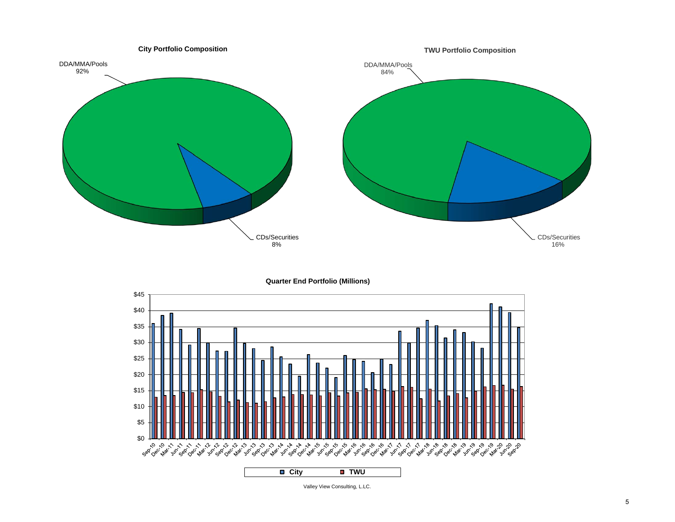

**Quarter End Portfolio (Millions)**



Valley View Consulting, L.LC.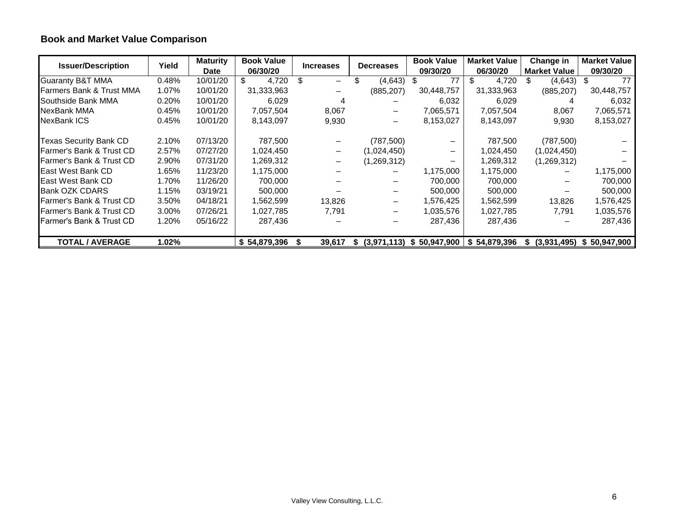## **Book and Market Value Comparison**

| <b>Issuer/Description</b>   | Yield | <b>Maturity</b> | <b>Book Value</b> | <b>Increases</b>             | <b>Decreases</b>  | <b>Book Value</b> | <b>Market Value</b> | <b>Change in</b>    | <b>Market Value</b> |
|-----------------------------|-------|-----------------|-------------------|------------------------------|-------------------|-------------------|---------------------|---------------------|---------------------|
|                             |       | <b>Date</b>     | 06/30/20          |                              |                   | 09/30/20          | 06/30/20            | <b>Market Value</b> | 09/30/20            |
| <b>Guaranty B&amp;T MMA</b> | 0.48% | 10/01/20        | 4,720             | \$<br>-                      | (4,643)           | 77<br>ъ           | \$<br>4,720         | (4,643)<br>\$.      | 77<br>- \$          |
| Farmers Bank & Trust MMA    | 1.07% | 10/01/20        | 31,333,963        |                              | (885, 207)        | 30,448,757        | 31,333,963          | (885, 207)          | 30,448,757          |
| Southside Bank MMA          | 0.20% | 10/01/20        | 6,029             |                              |                   | 6,032             | 6,029               |                     | 6,032               |
| <b>NexBank MMA</b>          | 0.45% | 10/01/20        | 7,057,504         | 8,067                        |                   | 7,065,571         | 7,057,504           | 8,067               | 7,065,571           |
| NexBank ICS                 | 0.45% | 10/01/20        | 8,143,097         | 9,930                        |                   | 8,153,027         | 8,143,097           | 9,930               | 8,153,027           |
| Texas Security Bank CD      | 2.10% | 07/13/20        | 787,500           |                              | (787, 500)        |                   | 787,500             | (787, 500)          |                     |
| Farmer's Bank & Trust CD    | 2.57% | 07/27/20        | 1,024,450         | $\qquad \qquad -$            | (1,024,450)       |                   | 1,024,450           | (1,024,450)         |                     |
| Farmer's Bank & Trust CD    | 2.90% | 07/31/20        | 1,269,312         | $\qquad \qquad \blacksquare$ | (1,269,312)       |                   | 1,269,312           | (1,269,312)         |                     |
| East West Bank CD           | 1.65% | 11/23/20        | 1,175,000         |                              |                   | 1,175,000         | 1,175,000           |                     | 1,175,000           |
| East West Bank CD           | 1.70% | 11/26/20        | 700,000           |                              |                   | 700,000           | 700,000             |                     | 700,000             |
| <b>Bank OZK CDARS</b>       | 1.15% | 03/19/21        | 500,000           |                              |                   | 500,000           | 500,000             |                     | 500,000             |
| Farmer's Bank & Trust CD    | 3.50% | 04/18/21        | 1,562,599         | 13,826                       |                   | 1,576,425         | 1,562,599           | 13,826              | 1,576,425           |
| Farmer's Bank & Trust CD    | 3.00% | 07/26/21        | 1,027,785         | 7,791                        |                   | 1,035,576         | 1,027,785           | 7,791               | 1,035,576           |
| Farmer's Bank & Trust CD    | 1.20% | 05/16/22        | 287,436           |                              |                   | 287,436           | 287,436             |                     | 287,436             |
| <b>TOTAL / AVERAGE</b>      | 1.02% |                 | \$54,879,396      | 39,617                       | (3,971,113)<br>æ. | 50,947,900<br>S.  | \$54,879,396        | (3,931,495)<br>S.   | \$50,947,900        |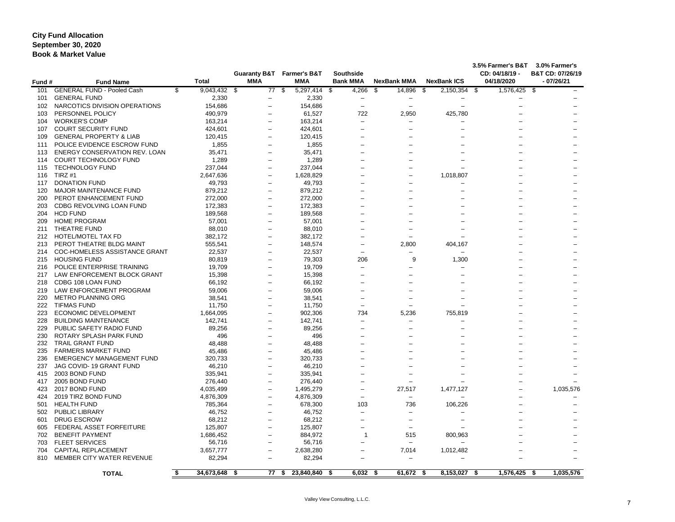### **City Fund Allocation Book & Market Value September 30, 2020**

| Fund #     | <b>Fund Name</b>                                            | <b>Total</b>         | <b>Guaranty B&amp;T</b><br><b>MMA</b> |                    | <b>Farmer's B&amp;T</b><br><b>MMA</b> | <b>Southside</b><br><b>Bank MMA</b> |            | <b>NexBank MMA</b>       | <b>NexBank ICS</b> | 3.5% Farmer's B&T<br>CD: 04/18/19 -<br>04/18/2020 | 3.0% Farmer's<br>B&T CD: 07/26/19<br>$-07/26/21$ |
|------------|-------------------------------------------------------------|----------------------|---------------------------------------|--------------------|---------------------------------------|-------------------------------------|------------|--------------------------|--------------------|---------------------------------------------------|--------------------------------------------------|
| 101        | <b>GENERAL FUND - Pooled Cash</b>                           | \$<br>$9,043,432$ \$ |                                       | $\overline{77}$ \$ | 5,297,414 \$                          |                                     | 4,266      | \$<br>14,896             | \$<br>2,150,354 \$ | 1,576,425 \$                                      |                                                  |
| 101        | <b>GENERAL FUND</b>                                         | 2,330                |                                       |                    | 2,330                                 |                                     |            |                          |                    |                                                   |                                                  |
| 102        | NARCOTICS DIVISION OPERATIONS                               | 154,686              |                                       |                    | 154,686                               |                                     |            | $\overline{\phantom{0}}$ |                    |                                                   |                                                  |
| 103        | PERSONNEL POLICY                                            | 490,979              |                                       |                    | 61,527                                |                                     | 722        | 2,950                    | 425,780            |                                                   |                                                  |
| 104        | <b>WORKER'S COMP</b>                                        | 163,214              |                                       |                    | 163,214                               |                                     |            |                          |                    |                                                   |                                                  |
| 107        | <b>COURT SECURITY FUND</b>                                  | 424,601              |                                       |                    | 424,601                               |                                     |            |                          |                    |                                                   |                                                  |
| 109        | <b>GENERAL PROPERTY &amp; LIAB</b>                          | 120,415              |                                       | -                  | 120,415                               |                                     |            |                          |                    |                                                   |                                                  |
| 111        | POLICE EVIDENCE ESCROW FUND                                 | 1,855                |                                       | -                  | 1,855                                 |                                     |            |                          |                    |                                                   |                                                  |
| 113        | <b>ENERGY CONSERVATION REV. LOAN</b>                        | 35,471               |                                       | -                  | 35,471                                |                                     |            |                          |                    |                                                   |                                                  |
| 114        | COURT TECHNOLOGY FUND                                       | 1,289                |                                       |                    | 1,289                                 |                                     |            |                          |                    |                                                   |                                                  |
| 115        | <b>TECHNOLOGY FUND</b>                                      | 237,044              |                                       |                    | 237,044                               |                                     |            |                          |                    |                                                   |                                                  |
| 116        | TIRZ #1                                                     | 2,647,636            |                                       | -                  | 1,628,829                             |                                     |            |                          | 1,018,807          |                                                   |                                                  |
| 117        | <b>DONATION FUND</b>                                        | 49,793               |                                       | -                  | 49,793                                |                                     |            |                          |                    |                                                   |                                                  |
| 120        | MAJOR MAINTENANCE FUND                                      | 879,212              |                                       |                    | 879,212                               |                                     |            |                          |                    |                                                   |                                                  |
| 200        | PEROT ENHANCEMENT FUND                                      | 272,000              |                                       |                    | 272,000                               |                                     |            |                          |                    |                                                   |                                                  |
| 203        | CDBG REVOLVING LOAN FUND                                    | 172,383              |                                       |                    | 172,383                               |                                     |            |                          |                    |                                                   |                                                  |
| 204        | <b>HCD FUND</b>                                             | 189,568              |                                       |                    | 189,568                               |                                     |            |                          |                    |                                                   |                                                  |
| 209        | <b>HOME PROGRAM</b>                                         | 57,001               |                                       |                    | 57,001                                |                                     |            |                          |                    |                                                   |                                                  |
| 211        | THEATRE FUND                                                | 88,010               |                                       | -                  | 88,010                                |                                     |            |                          |                    |                                                   |                                                  |
| 212        | <b>HOTEL/MOTEL TAX FD</b>                                   | 382,172              |                                       | -                  | 382,172                               |                                     |            |                          |                    |                                                   |                                                  |
| 213        | PEROT THEATRE BLDG MAINT                                    | 555,541              |                                       | -                  | 148,574                               |                                     |            | 2,800                    | 404,167            |                                                   |                                                  |
| 214        | COC-HOMELESS ASSISTANCE GRANT                               | 22,537               |                                       | -                  | 22,537                                |                                     |            |                          |                    |                                                   |                                                  |
| 215        | <b>HOUSING FUND</b>                                         | 80,819               |                                       | -                  | 79,303                                |                                     | 206        | 9                        | 1,300              |                                                   |                                                  |
| 216        | POLICE ENTERPRISE TRAINING                                  | 19,709               |                                       |                    | 19,709                                |                                     |            |                          |                    |                                                   |                                                  |
| 217        | LAW ENFORCEMENT BLOCK GRANT                                 | 15,398               |                                       | -                  | 15,398                                |                                     |            |                          |                    |                                                   |                                                  |
| 218        | CDBG 108 LOAN FUND                                          | 66,192               |                                       |                    | 66,192                                |                                     |            |                          |                    |                                                   |                                                  |
| 219        | LAW ENFORCEMENT PROGRAM                                     | 59,006               |                                       |                    | 59,006                                |                                     |            |                          |                    |                                                   |                                                  |
| 220        | METRO PLANNING ORG                                          | 38,541               |                                       |                    | 38,541                                |                                     |            |                          |                    |                                                   |                                                  |
| 222        | <b>TIFMAS FUND</b>                                          | 11,750               |                                       |                    | 11,750                                |                                     |            |                          |                    |                                                   |                                                  |
| 223        | ECONOMIC DEVELOPMENT                                        | 1,664,095            |                                       |                    | 902,306                               |                                     | 734        | 5,236                    | 755,819            |                                                   |                                                  |
| 228        | <b>BUILDING MAINTENANCE</b>                                 | 142,741              |                                       |                    | 142,741                               |                                     |            |                          |                    |                                                   |                                                  |
| 229        | PUBLIC SAFETY RADIO FUND                                    | 89,256               |                                       |                    | 89,256                                |                                     |            |                          |                    |                                                   |                                                  |
| 230        | ROTARY SPLASH PARK FUND                                     | 496                  |                                       |                    | 496                                   |                                     |            |                          |                    |                                                   |                                                  |
| 232        | <b>TRAIL GRANT FUND</b>                                     | 48,488               |                                       |                    | 48,488                                |                                     |            |                          |                    |                                                   |                                                  |
| 235        | <b>FARMERS MARKET FUND</b>                                  | 45,486               |                                       |                    | 45,486                                |                                     |            |                          |                    |                                                   |                                                  |
| 236        | <b>EMERGENCY MANAGEMENT FUND</b><br>JAG COVID-19 GRANT FUND | 320,733              |                                       |                    | 320,733                               |                                     |            |                          |                    |                                                   |                                                  |
| 237<br>415 | 2003 BOND FUND                                              | 46,210<br>335,941    |                                       |                    | 46,210<br>335,941                     |                                     |            |                          |                    |                                                   |                                                  |
| 417        | 2005 BOND FUND                                              | 276,440              |                                       |                    | 276,440                               |                                     |            |                          |                    |                                                   |                                                  |
| 423        | 2017 BOND FUND                                              | 4,035,499            |                                       |                    | 1,495,279                             |                                     |            | 27,517                   | 1,477,127          |                                                   | 1,035,576                                        |
| 424        | 2019 TIRZ BOND FUND                                         | 4,876,309            |                                       |                    | 4,876,309                             |                                     |            |                          |                    |                                                   |                                                  |
| 501        | <b>HEALTH FUND</b>                                          | 785,364              |                                       |                    | 678,300                               |                                     | 103        | 736                      | 106,226            |                                                   |                                                  |
| 502        | <b>PUBLIC LIBRARY</b>                                       | 46,752               |                                       |                    | 46,752                                |                                     |            |                          |                    |                                                   |                                                  |
| 601        | <b>DRUG ESCROW</b>                                          | 68,212               |                                       |                    | 68,212                                |                                     |            |                          |                    |                                                   |                                                  |
| 605        | FEDERAL ASSET FORFEITURE                                    | 125,807              |                                       |                    | 125,807                               |                                     |            |                          |                    |                                                   |                                                  |
| 702        | <b>BENEFIT PAYMENT</b>                                      | 1,686,452            |                                       |                    | 884,972                               |                                     |            | 515                      | 800,963            |                                                   |                                                  |
| 703        | <b>FLEET SERVICES</b>                                       | 56,716               |                                       |                    | 56,716                                |                                     |            |                          |                    |                                                   |                                                  |
| 704        | <b>CAPITAL REPLACEMENT</b>                                  | 3,657,777            |                                       | -                  | 2,638,280                             |                                     |            | 7,014                    | 1,012,482          |                                                   |                                                  |
| 810        | MEMBER CITY WATER REVENUE                                   | 82,294               |                                       | -                  | 82,294                                |                                     |            |                          |                    |                                                   |                                                  |
|            | <b>TOTAL</b>                                                | \$<br>34,673,648 \$  |                                       | 77 \$              | 23,840,840 \$                         |                                     | $6,032$ \$ | 61,672 \$                | 8,153,027 \$       | 1,576,425 \$                                      | 1,035,576                                        |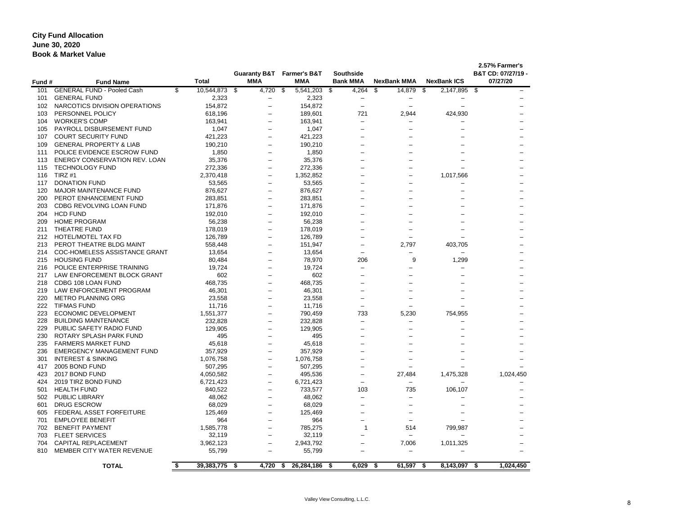### **City Fund Allocation Book & Market Value June 30, 2020**

| Fund #     | <b>Fund Name</b>                                | <b>Total</b>         | <b>MMA</b>                                    | <b>Guaranty B&amp;T</b> Farmer's B&T<br><b>MMA</b> | <b>Southside</b><br><b>Bank MMA</b> | <b>NexBank MMA</b>                     | <b>NexBank ICS</b> | 2.57% Farmer's<br>B&T CD: 07/27/19 -<br>07/27/20 |
|------------|-------------------------------------------------|----------------------|-----------------------------------------------|----------------------------------------------------|-------------------------------------|----------------------------------------|--------------------|--------------------------------------------------|
| 101        | <b>GENERAL FUND - Pooled Cash</b>               | 10,544,873 \$<br>\$  | 4,720 \$                                      | 5,541,203 \$                                       | 4,264                               | $\boldsymbol{\mathsf{S}}$<br>14,879 \$ | $2,147,895$ \$     |                                                  |
| 101        | <b>GENERAL FUND</b>                             | 2,323                | $\qquad \qquad -$                             | 2,323                                              | $\qquad \qquad -$                   |                                        |                    |                                                  |
| 102        | NARCOTICS DIVISION OPERATIONS                   | 154,872              |                                               | 154,872                                            | $\qquad \qquad$                     |                                        |                    |                                                  |
| 103        | PERSONNEL POLICY                                | 618,196              |                                               | 189,601                                            | 721                                 | 2,944                                  | 424,930            |                                                  |
| 104        | <b>WORKER'S COMP</b>                            | 163,941              |                                               | 163,941                                            | $\qquad \qquad -$                   |                                        |                    |                                                  |
| 105        | PAYROLL DISBURSEMENT FUND                       | 1,047                |                                               | 1,047                                              |                                     |                                        |                    |                                                  |
| 107        | <b>COURT SECURITY FUND</b>                      | 421,223              | $\overline{\phantom{m}}$                      | 421,223                                            |                                     |                                        |                    |                                                  |
| 109        | <b>GENERAL PROPERTY &amp; LIAB</b>              | 190,210              |                                               | 190,210                                            |                                     |                                        |                    |                                                  |
| 111        | POLICE EVIDENCE ESCROW FUND                     | 1,850                |                                               | 1,850                                              |                                     |                                        |                    |                                                  |
| 113        | ENERGY CONSERVATION REV. LOAN                   | 35,376               |                                               | 35,376                                             |                                     |                                        |                    |                                                  |
| 115        | <b>TECHNOLOGY FUND</b>                          | 272,336              | $\qquad \qquad -$                             | 272,336                                            |                                     |                                        |                    |                                                  |
| 116        | TIRZ #1                                         | 2,370,418            | $\overline{\phantom{m}}$                      | 1,352,852                                          |                                     |                                        | 1,017,566          |                                                  |
| 117        | <b>DONATION FUND</b>                            | 53,565               | $\overline{\phantom{0}}$                      | 53,565                                             |                                     |                                        |                    |                                                  |
| 120        | <b>MAJOR MAINTENANCE FUND</b>                   | 876,627              |                                               | 876,627                                            |                                     |                                        |                    |                                                  |
| 200        | PEROT ENHANCEMENT FUND                          | 283,851              | $\overline{\phantom{0}}$                      | 283,851                                            |                                     |                                        |                    |                                                  |
| 203        | CDBG REVOLVING LOAN FUND                        | 171,876              |                                               | 171,876                                            |                                     |                                        |                    |                                                  |
| 204        | <b>HCD FUND</b>                                 | 192,010              | $\overbrace{\phantom{12322111}}$              | 192,010                                            |                                     |                                        |                    |                                                  |
| 209        | <b>HOME PROGRAM</b>                             | 56,238               | $\overline{\phantom{0}}$                      | 56,238                                             |                                     |                                        |                    |                                                  |
| 211        | THEATRE FUND                                    | 178,019              |                                               | 178,019                                            |                                     |                                        |                    |                                                  |
| 212        | HOTEL/MOTEL TAX FD                              | 126,789              | $\qquad \qquad -$<br>$\overline{\phantom{0}}$ | 126,789                                            |                                     |                                        |                    |                                                  |
| 213        | PEROT THEATRE BLDG MAINT                        | 558,448              |                                               | 151,947                                            |                                     | 2,797                                  | 403,705            |                                                  |
|            | COC-HOMELESS ASSISTANCE GRANT                   | 13,654               | $\qquad \qquad -$                             | 13,654                                             |                                     |                                        |                    |                                                  |
| 214        | <b>HOUSING FUND</b>                             | 80,484               |                                               | 78,970                                             | 206                                 |                                        | 1,299              |                                                  |
| 215        | POLICE ENTERPRISE TRAINING                      | 19,724               | $\qquad \qquad -$                             | 19,724                                             | $\qquad \qquad -$                   | 9                                      |                    |                                                  |
| 216        | LAW ENFORCEMENT BLOCK GRANT                     | 602                  | $\overline{\phantom{0}}$                      | 602                                                |                                     |                                        |                    |                                                  |
| 217        | CDBG 108 LOAN FUND                              |                      |                                               |                                                    |                                     |                                        |                    |                                                  |
| 218        | LAW ENFORCEMENT PROGRAM                         | 468,735              |                                               | 468,735                                            |                                     |                                        |                    |                                                  |
| 219        | METRO PLANNING ORG                              | 46,301               |                                               | 46,301                                             |                                     |                                        |                    |                                                  |
| 220<br>222 | <b>TIFMAS FUND</b>                              | 23,558               |                                               | 23,558                                             |                                     |                                        |                    |                                                  |
| 223        | <b>ECONOMIC DEVELOPMENT</b>                     | 11,716               |                                               | 11,716                                             | 733                                 |                                        |                    |                                                  |
|            | <b>BUILDING MAINTENANCE</b>                     | 1,551,377            | $\qquad \qquad -$                             | 790,459                                            |                                     | 5,230                                  | 754,955            |                                                  |
| 228        | PUBLIC SAFETY RADIO FUND                        | 232,828              |                                               | 232,828                                            |                                     |                                        |                    |                                                  |
| 229        | 230 ROTARY SPLASH PARK FUND                     | 129,905<br>495       |                                               | 129,905<br>495                                     |                                     |                                        |                    |                                                  |
|            | <b>FARMERS MARKET FUND</b>                      | 45,618               |                                               | 45,618                                             |                                     |                                        |                    |                                                  |
| 235<br>236 | <b>EMERGENCY MANAGEMENT FUND</b>                | 357,929              |                                               | 357,929                                            |                                     |                                        |                    |                                                  |
| 301        | <b>INTEREST &amp; SINKING</b>                   | 1,076,758            |                                               |                                                    |                                     |                                        |                    |                                                  |
|            | 2005 BOND FUND                                  |                      |                                               | 1,076,758                                          |                                     |                                        |                    |                                                  |
| 417        | 2017 BOND FUND                                  | 507,295              |                                               | 507,295                                            |                                     |                                        |                    |                                                  |
| 423        | 2019 TIRZ BOND FUND                             | 4,050,582            |                                               | 495,536                                            |                                     | 27,484                                 | 1,475,328          | 1,024,450                                        |
| 424        | <b>HEALTH FUND</b>                              | 6,721,423<br>840,522 |                                               | 6,721,423<br>733,577                               | $\qquad \qquad -$<br>103            | $\qquad \qquad -$<br>735               |                    |                                                  |
| 501        | <b>PUBLIC LIBRARY</b>                           |                      |                                               |                                                    |                                     |                                        | 106,107            |                                                  |
| 502        |                                                 | 48,062               |                                               | 48,062                                             | —                                   |                                        |                    |                                                  |
| 601        | <b>DRUG ESCROW</b><br>FEDERAL ASSET FORFEITURE  | 68,029               |                                               | 68,029                                             |                                     |                                        |                    |                                                  |
| 605        | <b>EMPLOYEE BENEFIT</b>                         | 125,469              |                                               | 125,469                                            |                                     |                                        |                    |                                                  |
| 701        |                                                 | 964                  |                                               | 964                                                |                                     |                                        |                    |                                                  |
| 702        | <b>BENEFIT PAYMENT</b><br><b>FLEET SERVICES</b> | 1,585,778            |                                               | 785,275                                            |                                     | 514                                    | 799,987            |                                                  |
| 703        |                                                 | 32,119               |                                               | 32,119                                             |                                     |                                        |                    |                                                  |
| 704        | <b>CAPITAL REPLACEMENT</b>                      | 3,962,123            |                                               | 2,943,792                                          |                                     | 7,006                                  | 1,011,325          |                                                  |
| 810        | MEMBER CITY WATER REVENUE                       | 55,799               |                                               | 55,799                                             |                                     |                                        |                    |                                                  |
|            | <b>TOTAL</b>                                    | \$<br>39,383,775 \$  | 4,720 \$                                      | 26,284,186 \$                                      | $6,029$ \$                          | 61,597 \$                              | 8,143,097 \$       | 1,024,450                                        |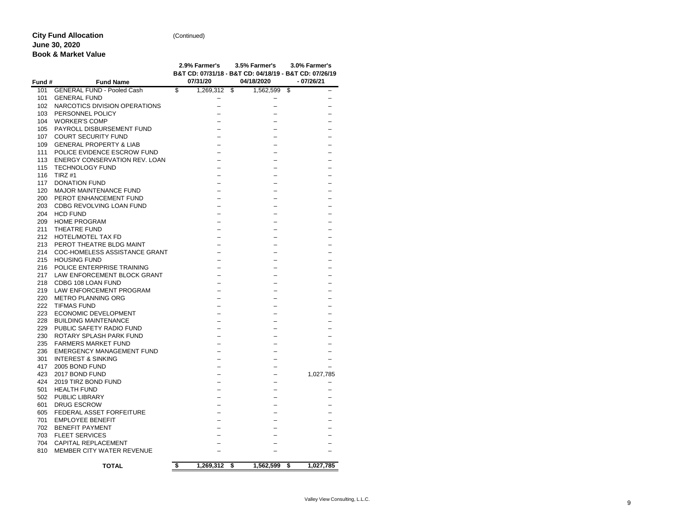# **City Fund Allocation**

(Continued)

## **June 30, 2020**

**Book & Market Value**

|        |                                    | 2.9% Farmer's   | 3.5% Farmer's<br>B&T CD: 07/31/18 - B&T CD: 04/18/19 - B&T CD: 07/26/19 | 3.0% Farmer's   |
|--------|------------------------------------|-----------------|-------------------------------------------------------------------------|-----------------|
| Fund # | <b>Fund Name</b>                   | 07/31/20        | 04/18/2020                                                              | $-07/26/21$     |
| 101    | <b>GENERAL FUND - Pooled Cash</b>  | \$<br>1,269,312 | \$<br>1,562,599                                                         | \$              |
| 101    | <b>GENERAL FUND</b>                |                 |                                                                         |                 |
| 102    | NARCOTICS DIVISION OPERATIONS      |                 |                                                                         |                 |
| 103    | PERSONNEL POLICY                   |                 |                                                                         |                 |
| 104    | <b>WORKER'S COMP</b>               |                 |                                                                         |                 |
| 105    | PAYROLL DISBURSEMENT FUND          |                 |                                                                         |                 |
| 107    | <b>COURT SECURITY FUND</b>         |                 |                                                                         |                 |
| 109    | <b>GENERAL PROPERTY &amp; LIAB</b> |                 |                                                                         |                 |
| 111    | POLICE EVIDENCE ESCROW FUND        |                 |                                                                         |                 |
| 113    | ENERGY CONSERVATION REV. LOAN      |                 |                                                                         |                 |
| 115    | <b>TECHNOLOGY FUND</b>             |                 |                                                                         |                 |
| 116    | TIRZ #1                            |                 |                                                                         |                 |
| 117    | <b>DONATION FUND</b>               |                 |                                                                         |                 |
| 120    | <b>MAJOR MAINTENANCE FUND</b>      |                 |                                                                         |                 |
| 200    | PEROT ENHANCEMENT FUND             |                 |                                                                         |                 |
| 203    | <b>CDBG REVOLVING LOAN FUND</b>    |                 |                                                                         |                 |
| 204    | <b>HCD FUND</b>                    |                 |                                                                         |                 |
| 209    | <b>HOME PROGRAM</b>                |                 |                                                                         |                 |
| 211    | THEATRE FUND                       |                 |                                                                         |                 |
| 212    | <b>HOTEL/MOTEL TAX FD</b>          |                 |                                                                         |                 |
| 213    | PEROT THEATRE BLDG MAINT           |                 |                                                                         |                 |
| 214    | COC-HOMELESS ASSISTANCE GRANT      |                 |                                                                         |                 |
| 215    | <b>HOUSING FUND</b>                |                 |                                                                         |                 |
| 216    | POLICE ENTERPRISE TRAINING         |                 |                                                                         |                 |
| 217    | LAW ENFORCEMENT BLOCK GRANT        |                 |                                                                         |                 |
| 218    | CDBG 108 LOAN FUND                 |                 |                                                                         |                 |
| 219    | LAW ENFORCEMENT PROGRAM            |                 |                                                                         |                 |
| 220    | <b>METRO PLANNING ORG</b>          |                 |                                                                         |                 |
| 222    | <b>TIFMAS FUND</b>                 |                 |                                                                         |                 |
| 223    | <b>ECONOMIC DEVELOPMENT</b>        |                 |                                                                         |                 |
| 228    | <b>BUILDING MAINTENANCE</b>        |                 |                                                                         |                 |
| 229    | PUBLIC SAFETY RADIO FUND           |                 |                                                                         |                 |
| 230    | ROTARY SPLASH PARK FUND            |                 |                                                                         |                 |
| 235    | <b>FARMERS MARKET FUND</b>         |                 |                                                                         |                 |
| 236    | <b>EMERGENCY MANAGEMENT FUND</b>   |                 |                                                                         |                 |
| 301    | <b>INTEREST &amp; SINKING</b>      |                 |                                                                         |                 |
| 417    | 2005 BOND FUND                     |                 |                                                                         |                 |
| 423    | 2017 BOND FUND                     |                 |                                                                         | 1,027,785       |
| 424    | 2019 TIRZ BOND FUND                |                 |                                                                         |                 |
| 501    | <b>HEALTH FUND</b>                 |                 |                                                                         |                 |
| 502    | <b>PUBLIC LIBRARY</b>              |                 |                                                                         |                 |
| 601    | <b>DRUG ESCROW</b>                 |                 |                                                                         |                 |
| 605    | FEDERAL ASSET FORFEITURE           |                 |                                                                         |                 |
| 701    | <b>EMPLOYEE BENEFIT</b>            |                 |                                                                         |                 |
| 702    | <b>BENEFIT PAYMENT</b>             |                 |                                                                         |                 |
| 703    | <b>FLEET SERVICES</b>              |                 |                                                                         |                 |
| 704    | <b>CAPITAL REPLACEMENT</b>         |                 |                                                                         |                 |
| 810    | MEMBER CITY WATER REVENUE          |                 |                                                                         |                 |
|        | <b>TOTAL</b>                       | \$<br>1,269,312 | \$<br>1,562,599                                                         | \$<br>1,027,785 |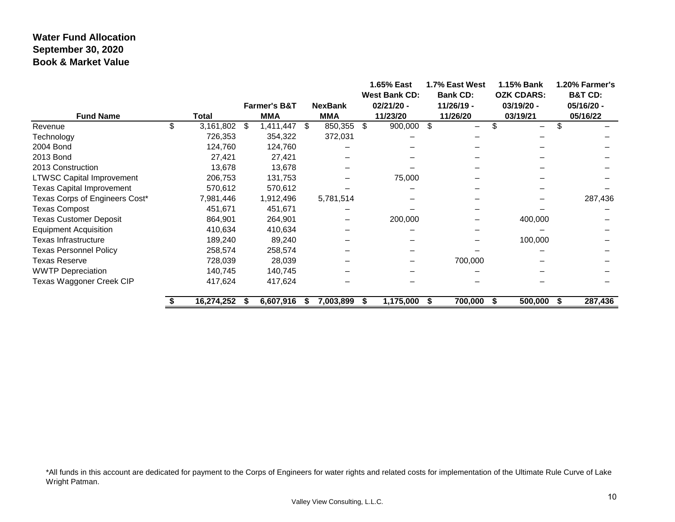### **Water Fund Allocation September 30, 2020 Book & Market Value**

|                                  |                 |      | <b>Farmer's B&amp;T</b> |      | <b>NexBank</b> |    | 1.65% East<br><b>West Bank CD:</b><br>$02/21/20 -$ |      | 1.7% East West<br><b>Bank CD:</b><br>11/26/19 - |      | 1.15% Bank<br><b>OZK CDARS:</b><br>03/19/20 - |    | 1.20% Farmer's<br><b>B&amp;T CD:</b><br>05/16/20 - |
|----------------------------------|-----------------|------|-------------------------|------|----------------|----|----------------------------------------------------|------|-------------------------------------------------|------|-----------------------------------------------|----|----------------------------------------------------|
| <b>Fund Name</b>                 | <b>Total</b>    |      | <b>MMA</b>              |      | <b>MMA</b>     |    | 11/23/20                                           |      | 11/26/20                                        |      | 03/19/21                                      |    | 05/16/22                                           |
| Revenue                          | \$<br>3,161,802 | -\$  | 1,411,447               | - \$ | 850,355        | \$ | 900,000 \$                                         |      | $\overline{\phantom{0}}$                        |      | —                                             |    |                                                    |
| Technology                       | 726,353         |      | 354,322                 |      | 372,031        |    |                                                    |      |                                                 |      |                                               |    |                                                    |
| 2004 Bond                        | 124,760         |      | 124,760                 |      |                |    |                                                    |      |                                                 |      |                                               |    |                                                    |
| 2013 Bond                        | 27,421          |      | 27,421                  |      |                |    |                                                    |      |                                                 |      |                                               |    |                                                    |
| 2013 Construction                | 13,678          |      | 13,678                  |      |                |    |                                                    |      |                                                 |      |                                               |    |                                                    |
| <b>LTWSC Capital Improvement</b> | 206,753         |      | 131,753                 |      |                |    | 75,000                                             |      |                                                 |      |                                               |    |                                                    |
| <b>Texas Capital Improvement</b> | 570,612         |      | 570,612                 |      |                |    |                                                    |      |                                                 |      |                                               |    |                                                    |
| Texas Corps of Engineers Cost*   | 7,981,446       |      | 1,912,496               |      | 5,781,514      |    |                                                    |      |                                                 |      |                                               |    | 287,436                                            |
| <b>Texas Compost</b>             | 451,671         |      | 451,671                 |      |                |    |                                                    |      |                                                 |      |                                               |    |                                                    |
| <b>Texas Customer Deposit</b>    | 864,901         |      | 264,901                 |      |                |    | 200,000                                            |      |                                                 |      | 400,000                                       |    |                                                    |
| <b>Equipment Acquisition</b>     | 410,634         |      | 410,634                 |      |                |    |                                                    |      |                                                 |      |                                               |    |                                                    |
| Texas Infrastructure             | 189,240         |      | 89,240                  |      |                |    |                                                    |      |                                                 |      | 100,000                                       |    |                                                    |
| <b>Texas Personnel Policy</b>    | 258,574         |      | 258,574                 |      |                |    |                                                    |      |                                                 |      |                                               |    |                                                    |
| <b>Texas Reserve</b>             | 728,039         |      | 28,039                  |      |                |    |                                                    |      | 700,000                                         |      |                                               |    |                                                    |
| <b>WWTP Depreciation</b>         | 140,745         |      | 140,745                 |      |                |    |                                                    |      |                                                 |      |                                               |    |                                                    |
| Texas Waggoner Creek CIP         | 417,624         |      | 417,624                 |      |                |    |                                                    |      |                                                 |      |                                               |    |                                                    |
|                                  | 16,274,252      | - 55 | 6,607,916               | ъ    | 7,003,899      | S  | 1,175,000                                          | - \$ | 700,000                                         | - SS | 500,000                                       | æ. | 287,436                                            |

\*All funds in this account are dedicated for payment to the Corps of Engineers for water rights and related costs for implementation of the Ultimate Rule Curve of Lake Wright Patman.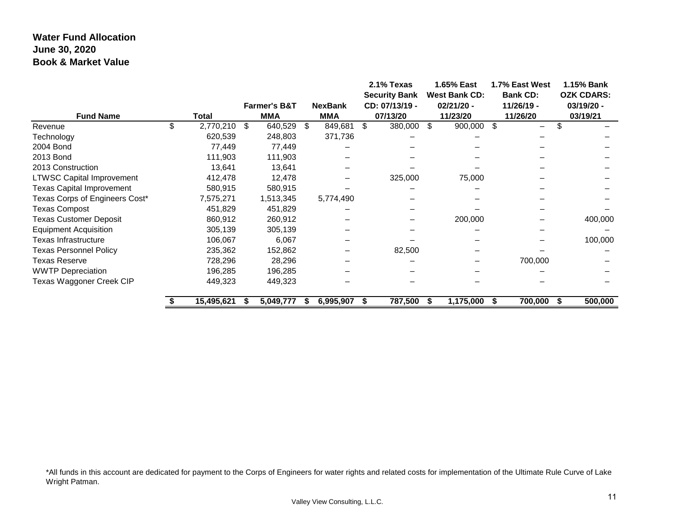### **Water Fund Allocation June 30, 2020 Book & Market Value**

| <b>Fund Name</b>                 | Total |            | <b>Farmer's B&amp;T</b><br><b>MMA</b> |           |    | <b>NexBank</b><br><b>MMA</b> | 2.1% Texas<br><b>Security Bank</b><br>CD: 07/13/19 -<br>07/13/20 |            |     | 1.65% East<br><b>West Bank CD:</b><br>$02/21/20 -$<br>11/23/20 | 1.7% East West<br><b>Bank CD:</b><br>11/26/19 -<br>11/26/20 | 1.15% Bank<br><b>OZK CDARS:</b><br>03/19/20 -<br>03/19/21 |         |
|----------------------------------|-------|------------|---------------------------------------|-----------|----|------------------------------|------------------------------------------------------------------|------------|-----|----------------------------------------------------------------|-------------------------------------------------------------|-----------------------------------------------------------|---------|
| Revenue                          |       | 2,770,210  | S.                                    | 640,529   | -S | 849,681                      | \$                                                               | 380,000 \$ |     | 900,000 \$                                                     | $\overline{\phantom{0}}$                                    |                                                           |         |
| Technology                       |       | 620,539    |                                       | 248,803   |    | 371,736                      |                                                                  |            |     |                                                                |                                                             |                                                           |         |
| 2004 Bond                        |       | 77,449     |                                       | 77,449    |    |                              |                                                                  |            |     |                                                                |                                                             |                                                           |         |
| 2013 Bond                        |       | 111,903    |                                       | 111,903   |    |                              |                                                                  |            |     |                                                                |                                                             |                                                           |         |
| 2013 Construction                |       | 13,641     |                                       | 13,641    |    |                              |                                                                  |            |     |                                                                |                                                             |                                                           |         |
| <b>LTWSC Capital Improvement</b> |       | 412,478    |                                       | 12,478    |    |                              |                                                                  | 325,000    |     | 75,000                                                         |                                                             |                                                           |         |
| <b>Texas Capital Improvement</b> |       | 580,915    |                                       | 580,915   |    |                              |                                                                  |            |     |                                                                |                                                             |                                                           |         |
| Texas Corps of Engineers Cost*   |       | 7,575,271  |                                       | 1,513,345 |    | 5,774,490                    |                                                                  |            |     |                                                                |                                                             |                                                           |         |
| <b>Texas Compost</b>             |       | 451,829    |                                       | 451,829   |    |                              |                                                                  |            |     |                                                                |                                                             |                                                           |         |
| <b>Texas Customer Deposit</b>    |       | 860,912    |                                       | 260,912   |    |                              |                                                                  |            |     | 200,000                                                        |                                                             |                                                           | 400,000 |
| <b>Equipment Acquisition</b>     |       | 305,139    |                                       | 305,139   |    |                              |                                                                  |            |     |                                                                |                                                             |                                                           |         |
| Texas Infrastructure             |       | 106,067    |                                       | 6,067     |    |                              |                                                                  |            |     |                                                                |                                                             |                                                           | 100,000 |
| <b>Texas Personnel Policy</b>    |       | 235,362    |                                       | 152,862   |    |                              |                                                                  | 82,500     |     |                                                                |                                                             |                                                           |         |
| Texas Reserve                    |       | 728,296    |                                       | 28,296    |    |                              |                                                                  |            |     |                                                                | 700,000                                                     |                                                           |         |
| <b>WWTP Depreciation</b>         |       | 196,285    |                                       | 196,285   |    |                              |                                                                  |            |     |                                                                |                                                             |                                                           |         |
| Texas Waggoner Creek CIP         |       | 449,323    |                                       | 449,323   |    |                              |                                                                  |            |     |                                                                |                                                             |                                                           |         |
|                                  |       | 15,495,621 |                                       | 5,049,777 |    | 6,995,907                    | S                                                                | 787,500    | - 5 | 1,175,000                                                      | 700,000                                                     |                                                           | 500,000 |

\*All funds in this account are dedicated for payment to the Corps of Engineers for water rights and related costs for implementation of the Ultimate Rule Curve of Lake Wright Patman.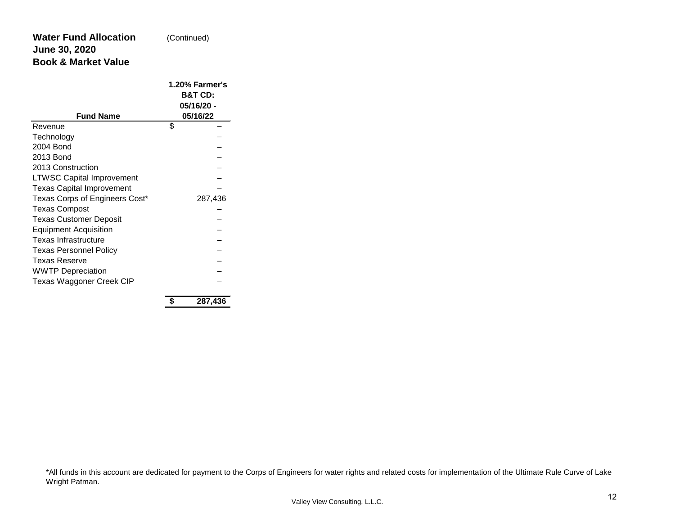#### **Water Fund Allocation June 30, 2020 Book & Market Value** (Continued)

| <b>Fund Name</b>                 | 1.20% Farmer's<br><b>B&amp;T CD:</b><br>05/16/20 -<br>05/16/22 |         |  |  |  |  |  |
|----------------------------------|----------------------------------------------------------------|---------|--|--|--|--|--|
| Revenue                          | \$                                                             |         |  |  |  |  |  |
| Technology                       |                                                                |         |  |  |  |  |  |
| 2004 Bond                        |                                                                |         |  |  |  |  |  |
| 2013 Bond                        |                                                                |         |  |  |  |  |  |
| 2013 Construction                |                                                                |         |  |  |  |  |  |
| <b>LTWSC Capital Improvement</b> |                                                                |         |  |  |  |  |  |
| <b>Texas Capital Improvement</b> |                                                                |         |  |  |  |  |  |
| Texas Corps of Engineers Cost*   |                                                                | 287,436 |  |  |  |  |  |
| <b>Texas Compost</b>             |                                                                |         |  |  |  |  |  |
| <b>Texas Customer Deposit</b>    |                                                                |         |  |  |  |  |  |
| <b>Equipment Acquisition</b>     |                                                                |         |  |  |  |  |  |
| Texas Infrastructure             |                                                                |         |  |  |  |  |  |
| <b>Texas Personnel Policy</b>    |                                                                |         |  |  |  |  |  |
| <b>Texas Reserve</b>             |                                                                |         |  |  |  |  |  |
| <b>WWTP Depreciation</b>         |                                                                |         |  |  |  |  |  |
| Texas Waggoner Creek CIP         |                                                                |         |  |  |  |  |  |

**\$ 287,436**

\*All funds in this account are dedicated for payment to the Corps of Engineers for water rights and related costs for implementation of the Ultimate Rule Curve of Lake Wright Patman.